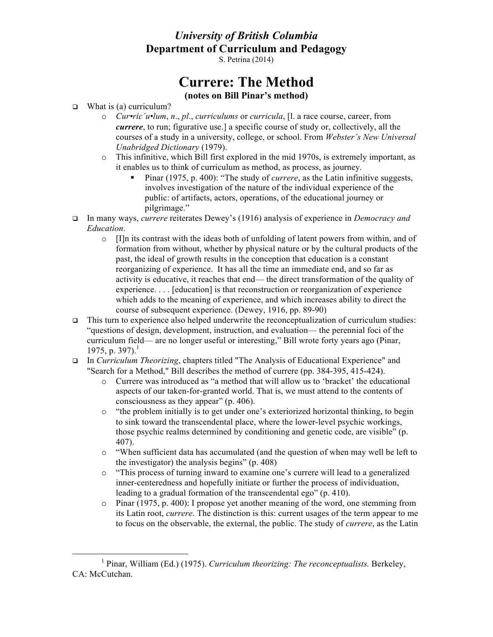## *University of British Columbia* **Department of Curriculum and Pedagogy**

S. Petrina (2014)

## **Currere: The Method (notes on Bill Pinar's method)**

- $\Box$  What is (a) curriculum?
	- o *Cur•ric´u•lum*, *n*., *pl*., *curriculums* or *curricula*, [l. a race course, career, from *currere*, to run; figurative use.] a specific course of study or, collectively, all the courses of a study in a university, college, or school. From *Webster's New Universal Unabridged Dictionary* (1979).
	- o This infinitive, which Bill first explored in the mid 1970s, is extremely important, as it enables us to think of curriculum as method, as process, as journey.
		- § Pinar (1975, p. 400): "The study of *currere*, as the Latin infinitive suggests, involves investigation of the nature of the individual experience of the public: of artifacts, actors, operations, of the educational journey or pilgrimage."
- q In many ways, *currere* reiterates Dewey's (1916) analysis of experience in *Democracy and Education*.
	- $\circ$  [I]n its contrast with the ideas both of unfolding of latent powers from within, and of formation from without, whether by physical nature or by the cultural products of the past, the ideal of growth results in the conception that education is a constant reorganizing of experience. It has all the time an immediate end, and so far as activity is educative, it reaches that end— the direct transformation of the quality of experience. . . . [education] is that reconstruction or reorganization of experience which adds to the meaning of experience, and which increases ability to direct the course of subsequent experience. (Dewey, 1916, pp. 89-90)
- $\Box$  This turn to experience also helped underwrite the reconceptualization of curriculum studies: "questions of design, development, instruction, and evaluation— the perennial foci of the curriculum field— are no longer useful or interesting," Bill wrote forty years ago (Pinar, 1975, p. 397).<sup>1</sup>
- q In *Curriculum Theorizing*, chapters titled "The Analysis of Educational Experience" and "Search for a Method," Bill describes the method of currere (pp. 384-395, 415-424).
	- o Currere was introduced as "a method that will allow us to 'bracket' the educational aspects of our taken-for-granted world. That is, we must attend to the contents of consciousness as they appear" (p. 406).
	- o "the problem initially is to get under one's exteriorized horizontal thinking, to begin to sink toward the transcendental place, where the lower-level psychic workings, those psychic realms determined by conditioning and genetic code, are visible" (p. 407).
	- o "When sufficient data has accumulated (and the question of when may well be left to the investigator) the analysis begins" (p. 408)
	- o "This process of turning inward to examine one's currere will lead to a generalized inner-centeredness and hopefully initiate or further the process of individuation, leading to a gradual formation of the transcendental ego" (p. 410).
	- o Pinar (1975, p. 400): I propose yet another meaning of the word, one stemming from its Latin root, *currere*. The distinction is this: current usages of the term appear to me to focus on the observable, the external, the public. The study of *currere*, as the Latin

<sup>1</sup> Pinar, William (Ed.) (1975). *Curriculum theorizing: The reconceptualists.* Berkeley, CA: McCutchan.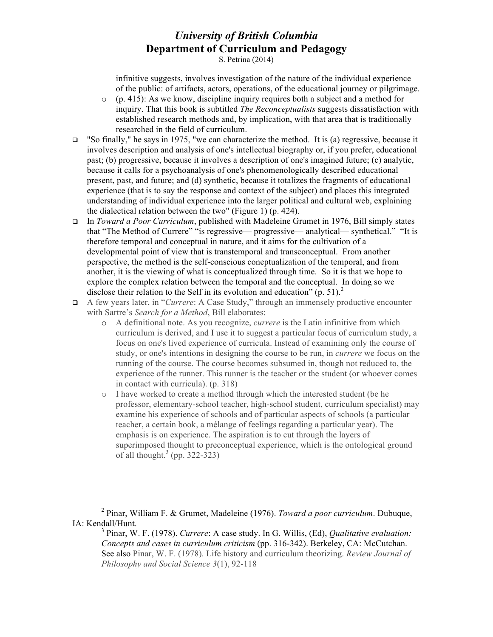## *University of British Columbia* **Department of Curriculum and Pedagogy**

S. Petrina (2014)

infinitive suggests, involves investigation of the nature of the individual experience of the public: of artifacts, actors, operations, of the educational journey or pilgrimage.

- $\circ$  (p. 415): As we know, discipline inquiry requires both a subject and a method for inquiry. That this book is subtitled *The Reconceptualists* suggests dissatisfaction with established research methods and, by implication, with that area that is traditionally researched in the field of curriculum.
- □ "So finally," he says in 1975, "we can characterize the method. It is (a) regressive, because it involves description and analysis of one's intellectual biography or, if you prefer, educational past; (b) progressive, because it involves a description of one's imagined future; (c) analytic, because it calls for a psychoanalysis of one's phenomenologically described educational present, past, and future; and (d) synthetic, because it totalizes the fragments of educational experience (that is to say the response and context of the subject) and places this integrated understanding of individual experience into the larger political and cultural web, explaining the dialectical relation between the two" (Figure 1) (p. 424).
- q In *Toward a Poor Curriculum*, published with Madeleine Grumet in 1976, Bill simply states that "The Method of Currere" "is regressive— progressive— analytical— synthetical." "It is therefore temporal and conceptual in nature, and it aims for the cultivation of a developmental point of view that is transtemporal and transconceptual. From another perspective, the method is the self-conscious coneptualization of the temporal, and from another, it is the viewing of what is conceptualized through time. So it is that we hope to explore the complex relation between the temporal and the conceptual. In doing so we disclose their relation to the Self in its evolution and education"  $(p. 51)$ .
- q A few years later, in "*Currere*: A Case Study," through an immensely productive encounter with Sartre's *Search for a Method*, Bill elaborates:
	- o A definitional note. As you recognize, *currere* is the Latin infinitive from which curriculum is derived, and I use it to suggest a particular focus of curriculum study, a focus on one's lived experience of curricula. Instead of examining only the course of study, or one's intentions in designing the course to be run, in *currere* we focus on the running of the course. The course becomes subsumed in, though not reduced to, the experience of the runner. This runner is the teacher or the student (or whoever comes in contact with curricula). (p. 318)
	- o I have worked to create a method through which the interested student (be he professor, elementary-school teacher, high-school student, curriculum specialist) may examine his experience of schools and of particular aspects of schools (a particular teacher, a certain book, a mélange of feelings regarding a particular year). The emphasis is on experience. The aspiration is to cut through the layers of superimposed thought to preconceptual experience, which is the ontological ground of all thought.<sup>3</sup> (pp. 322-323)

<sup>2</sup> Pinar, William F. & Grumet, Madeleine (1976). *Toward a poor curriculum*. Dubuque, IA: Kendall/Hunt.

<sup>3</sup> Pinar, W. F. (1978). *Currere*: A case study. In G. Willis, (Ed), *Qualitative evaluation: Concepts and cases in curriculum criticism* (pp. 316-342). Berkeley, CA: McCutchan. See also Pinar, W. F. (1978). Life history and curriculum theorizing. *Review Journal of Philosophy and Social Science 3*(1), 92-118